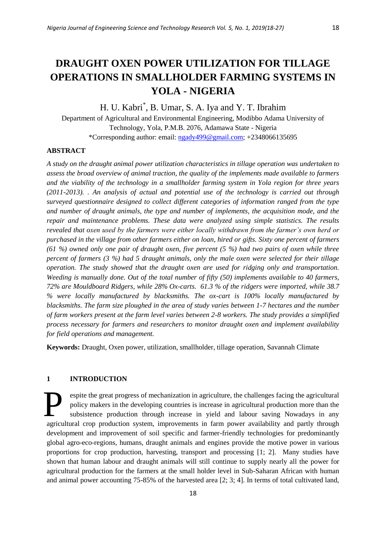# **DRAUGHT OXEN POWER UTILIZATION FOR TILLAGE OPERATIONS IN SMALLHOLDER FARMING SYSTEMS IN YOLA - NIGERIA**

# H. U. Kabri\* , B. Umar, S. A. Iya and Y. T. Ibrahim

Department of Agricultural and Environmental Engineering, Modibbo Adama University of Technology, Yola, P.M.B. 2076, Adamawa State - Nigeria \*Corresponding author: email[: ngady499@gmail.com;](mailto:ngady499@gmail.com) +2348066135695

#### **ABSTRACT**

*A study on the draught animal power utilization characteristics in tillage operation was undertaken to assess the broad overview of animal traction, the quality of the implements made available to farmers and the viability of the technology in a smallholder farming system in Yola region for three years (2011-2013). . An analysis of actual and potential use of the technology is carried out through surveyed questionnaire designed to collect different categories of information ranged from the type and number of draught animals, the type and number of implements, the acquisition mode, and the repair and maintenance problems. These data were analyzed using simple statistics. The results revealed that oxen used by the farmers were either locally withdrawn from the farmer's own herd or purchased in the village from other farmers either on loan, hired or gifts. Sixty one percent of farmers (61 %) owned only one pair of draught oxen, five percent (5 %) had two pairs of oxen while three percent of farmers (3 %) had 5 draught animals, only the male oxen were selected for their tillage operation. The study showed that the draught oxen are used for ridging only and transportation. Weeding is manually done. Out of the total number of fifty (50) implements available to 40 farmers, 72% are Mouldboard Ridgers, while 28% Ox-carts. 61.3 % of the ridgers were imported, while 38.7 % were locally manufactured by blacksmiths. The ox-cart is 100% locally manufactured by blacksmiths. The farm size ploughed in the area of study varies between 1-7 hectares and the number of farm workers present at the farm level varies between 2-8 workers. The study provides a simplified process necessary for farmers and researchers to monitor draught oxen and implement availability for field operations and management.*

**Keywords:** Draught, Oxen power, utilization, smallholder, tillage operation, Savannah Climate

# **1 INTRODUCTION**

espite the great progress of mechanization in agriculture, the challenges facing the agricultural policy makers in the developing countries is increase in agricultural production more than the subsistence production through increase in yield and labour saving Nowadays in any agricultural crop production system, improvements in farm power availability and partly through development and improvement of soil specific and farmer-friendly technologies for predominantly global agro-eco-regions, humans, draught animals and engines provide the motive power in various proportions for crop production, harvesting, transport and processing [1; 2]. Many studies have shown that human labour and draught animals will still continue to supply nearly all the power for agricultural production for the farmers at the small holder level in Sub-Saharan African with human and animal power accounting 75-85% of the harvested area [2; 3; 4]. In terms of total cultivated land, P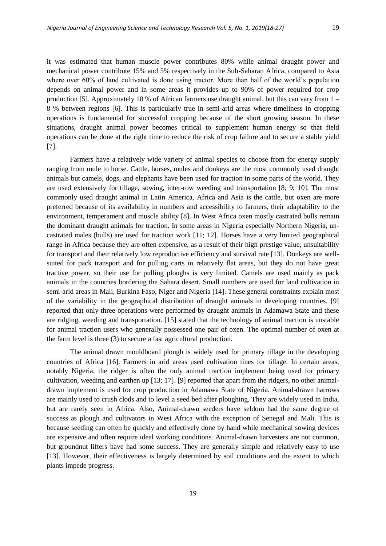it was estimated that human muscle power contributes 80% while animal draught power and mechanical power contribute 15% and 5% respectively in the Sub-Saharan Africa, compared to Asia where over 60% of land cultivated is done using tractor. More than half of the world's population depends on animal power and in some areas it provides up to 90% of power required for crop production [5]. Approximately 10 % of African farmers use draught animal, but this can vary from 1 – 8 % between regions [6]. This is particularly true in semi-arid areas where timeliness in cropping operations is fundamental for successful cropping because of the short growing season. In these situations, draught animal power becomes critical to supplement human energy so that field operations can be done at the right time to reduce the risk of crop failure and to secure a stable yield [7].

Farmers have a relatively wide variety of animal species to choose from for energy supply ranging from mule to horse. Cattle, horses, mules and donkeys are the most commonly used draught animals but camels, dogs, and elephants have been used for traction in some parts of the world. They are used extensively for tillage, sowing, inter-row weeding and transportation [8; 9; 10]. The most commonly used draught animal in Latin America, Africa and Asia is the cattle, but oxen are more preferred because of its availability in numbers and accessibility to farmers, their adaptability to the environment, temperament and muscle ability [8]. In West Africa oxen mostly castrated bulls remain the dominant draught animals for traction. In some areas in Nigeria especially Northern Nigeria, uncastrated males (bulls) are used for traction work [11; 12]. Horses have a very limited geographical range in Africa because they are often expensive, as a result of their high prestige value, unsuitability for transport and their relatively low reproductive efficiency and survival rate [13]. Donkeys are wellsuited for pack transport and for pulling carts in relatively flat areas, but they do not have great tractive power, so their use for pulling ploughs is very limited. Camels are used mainly as pack animals in the countries bordering the Sahara desert. Small numbers are used for land cultivation in semi-arid areas in Mali, Burkina Faso, Niger and Nigeria [14]. These general constraints explain most of the variability in the geographical distribution of draught animals in developing countries. [9] reported that only three operations were performed by draught animals in Adamawa State and these are ridging, weeding and transportation. [15] stated that the technology of animal traction is unstable for animal traction users who generally possessed one pair of oxen. The optimal number of oxen at the farm level is three (3) to secure a fast agricultural production.

The animal drawn mouldboard plough is widely used for primary tillage in the developing countries of Africa [16]. Farmers in arid areas used cultivation tines for tillage. In certain areas, notably Nigeria, the ridger is often the only animal traction implement being used for primary cultivation, weeding and earthen up [13; 17]. [9] reported that apart from the ridgers, no other animaldrawn implement is used for crop production in Adamawa State of Nigeria. Animal-drawn harrows are mainly used to crush clods and to level a seed bed after ploughing. They are widely used in India, but are rarely seen in Africa. Also, Animal-drawn seeders have seldom had the same degree of success as plough and cultivators in West Africa with the exception of Senegal and Mali. This is because seeding can often be quickly and effectively done by hand while mechanical sowing devices are expensive and often require ideal working conditions. Animal-drawn harvesters are not common, but groundnut lifters have had some success. They are generally simple and relatively easy to use [13]. However, their effectiveness is largely determined by soil conditions and the extent to which plants impede progress.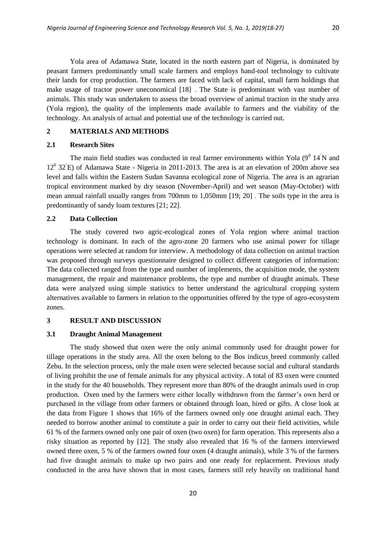Yola area of Adamawa State, located in the north eastern part of Nigeria, is dominated by peasant farmers predominantly small scale farmers and employs hand-tool technology to cultivate their lands for crop production. The farmers are faced with lack of capital, small farm holdings that make usage of tractor power uneconomical [18] . The State is predominant with vast number of animals. This study was undertaken to assess the broad overview of animal traction in the study area (Yola region), the quality of the implements made available to farmers and the viability of the technology. An analysis of actual and potential use of the technology is carried out.

# **2 MATERIALS AND METHODS**

#### **2.1 Research Sites**

The main field studies was conducted in real farmer environments within Yola  $(9^0 \text{ 14}^T)$  and 12<sup>0</sup> 32 E) of Adamawa State - Nigeria in 2011-2013. The area is at an elevation of 200m above sea level and falls within the Eastern Sudan Savanna ecological zone of Nigeria. The area is an agrarian tropical environment marked by dry season (November-April) and wet season (May-October) with mean annual rainfall usually ranges from 700mm to 1,050mm [19; 20] . The soils type in the area is predominantly of sandy loam textures [21; 22].

# **2.2 Data Collection**

The study covered two agric-ecological zones of Yola region where animal traction technology is dominant. In each of the agro-zone 20 farmers who use animal power for tillage operations were selected at random for interview. A methodology of data collection on animal traction was proposed through surveys questionnaire designed to collect different categories of information: The data collected ranged from the type and number of implements, the acquisition mode, the system management, the repair and maintenance problems, the type and number of draught animals. These data were analyzed using simple statistics to better understand the agricultural cropping system alternatives available to farmers in relation to the opportunities offered by the type of agro-ecosystem zones.

#### **3 RESULT AND DISCUSSION**

#### **3.1 Draught Animal Management**

The study showed that oxen were the only animal commonly used for draught power for tillage operations in the study area. All the oxen belong to the Bos indicus breed commonly called Zebu. In the selection process, only the male oxen were selected because social and cultural standards of living prohibit the use of female animals for any physical activity. A total of 83 oxen were counted in the study for the 40 households. They represent more than 80% of the draught animals used in crop production. Oxen used by the farmers were either locally withdrawn from the farmer's own herd or purchased in the village from other farmers or obtained through loan, hired or gifts. A close look at the data from Figure 1 shows that 16% of the farmers owned only one draught animal each. They needed to borrow another animal to constitute a pair in order to carry out their field activities, while 61 % of the farmers owned only one pair of oxen (two oxen) for farm operation. This represents also a risky situation as reported by [12]. The study also revealed that 16 % of the farmers interviewed owned three oxen, 5 % of the farmers owned four oxen (4 draught animals), while 3 % of the farmers had five draught animals to make up two pairs and one ready for replacement. Previous study conducted in the area have shown that in most cases, farmers still rely heavily on traditional hand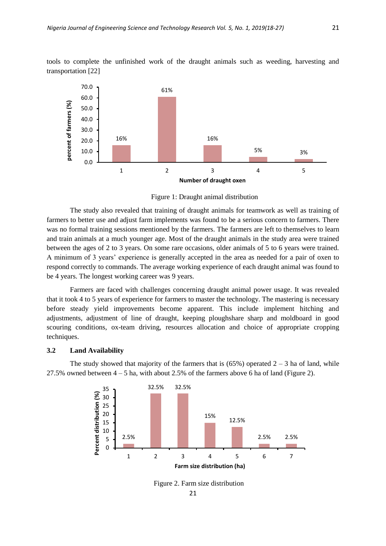tools to complete the unfinished work of the draught animals such as weeding, harvesting and transportation [22]



Figure 1: Draught animal distribution

The study also revealed that training of draught animals for teamwork as well as training of farmers to better use and adjust farm implements was found to be a serious concern to farmers. There was no formal training sessions mentioned by the farmers. The farmers are left to themselves to learn and train animals at a much younger age. Most of the draught animals in the study area were trained between the ages of 2 to 3 years. On some rare occasions, older animals of 5 to 6 years were trained. A minimum of 3 years' experience is generally accepted in the area as needed for a pair of oxen to respond correctly to commands. The average working experience of each draught animal was found to be 4 years. The longest working career was 9 years.

Farmers are faced with challenges concerning draught animal power usage. It was revealed that it took 4 to 5 years of experience for farmers to master the technology. The mastering is necessary before steady yield improvements become apparent. This include implement hitching and adjustments, adjustment of line of draught, keeping ploughshare sharp and moldboard in good scouring conditions, ox-team driving, resources allocation and choice of appropriate cropping techniques.

#### **3.2 Land Availability**

The study showed that majority of the farmers that is  $(65%)$  operated  $2 - 3$  ha of land, while 27.5% owned between  $4 - 5$  ha, with about 2.5% of the farmers above 6 ha of land (Figure 2).



Figure 2. Farm size distribution

21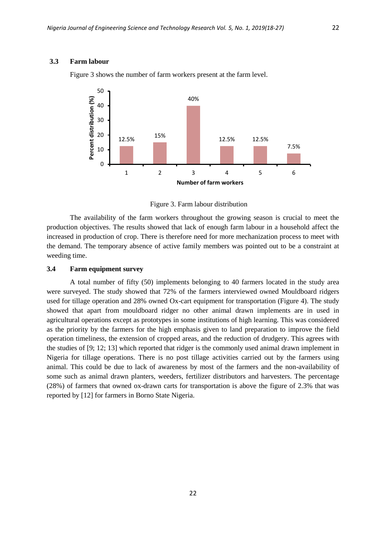#### **3.3 Farm labour**



Figure 3 shows the number of farm workers present at the farm level.

Figure 3. Farm labour distribution

The availability of the farm workers throughout the growing season is crucial to meet the production objectives. The results showed that lack of enough farm labour in a household affect the increased in production of crop. There is therefore need for more mechanization process to meet with the demand. The temporary absence of active family members was pointed out to be a constraint at weeding time.

#### **3.4 Farm equipment survey**

A total number of fifty (50) implements belonging to 40 farmers located in the study area were surveyed. The study showed that 72% of the farmers interviewed owned Mouldboard ridgers used for tillage operation and 28% owned Ox-cart equipment for transportation (Figure 4). The study showed that apart from mouldboard ridger no other animal drawn implements are in used in agricultural operations except as prototypes in some institutions of high learning. This was considered as the priority by the farmers for the high emphasis given to land preparation to improve the field operation timeliness, the extension of cropped areas, and the reduction of drudgery. This agrees with the studies of [9; 12; 13] which reported that ridger is the commonly used animal drawn implement in Nigeria for tillage operations. There is no post tillage activities carried out by the farmers using animal. This could be due to lack of awareness by most of the farmers and the non-availability of some such as animal drawn planters, weeders, fertilizer distributors and harvesters. The percentage (28%) of farmers that owned ox-drawn carts for transportation is above the figure of 2.3% that was reported by [12] for farmers in Borno State Nigeria.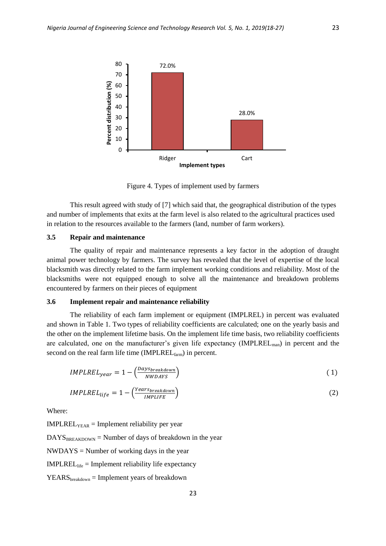

Figure 4. Types of implement used by farmers

This result agreed with study of [7] which said that, the geographical distribution of the types and number of implements that exits at the farm level is also related to the agricultural practices used in relation to the resources available to the farmers (land, number of farm workers).

# **3.5 Repair and maintenance**

The quality of repair and maintenance represents a key factor in the adoption of draught animal power technology by farmers. The survey has revealed that the level of expertise of the local blacksmith was directly related to the farm implement working conditions and reliability. Most of the blacksmiths were not equipped enough to solve all the maintenance and breakdown problems encountered by farmers on their pieces of equipment

# **3.6 Implement repair and maintenance reliability**

The reliability of each farm implement or equipment (IMPLREL) in percent was evaluated and shown in Table 1. Two types of reliability coefficients are calculated; one on the yearly basis and the other on the implement lifetime basis. On the implement life time basis, two reliability coefficients are calculated, one on the manufacturer's given life expectancy (IMPLREL<sub>man</sub>) in percent and the second on the real farm life time ( $IMPLEXEL_{farm}$ ) in percent.

$$
IMPLREL_{year} = 1 - \left(\frac{Days_{breakdown}}{NWDATS}\right) \tag{1}
$$

$$
IMPLREL_{life} = 1 - \left(\frac{Year_{breakdown}}{IMPLIE}\right)
$$
 (2)

Where:

 $IMPLEXE<sub>YEAR</sub> = Implement reliability per year$ 

 $DAYS_{BREAKDOWN}$  = Number of days of breakdown in the year

 $NWDAYS = Number of working days in the year$ 

 $IMPLREL<sub>life</sub> = Implement reliability life expectancy$ 

 $YEARS_{breakdown} = Implement \, years \, of \, breakdown$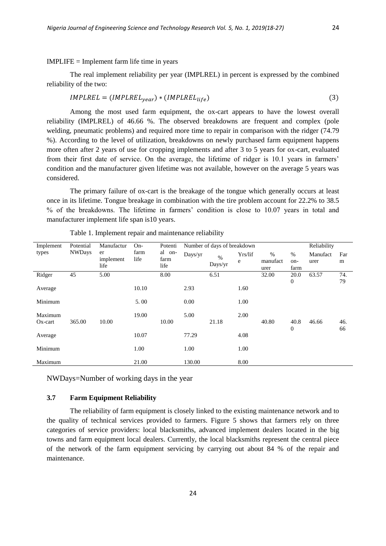#### IMPLIFE = Implement farm life time in years

The real implement reliability per year (IMPLREL) in percent is expressed by the combined reliability of the two:

$$
IMPLREL = (IMPLREL_{year}) * (IMPLREL_{life}) \tag{3}
$$

Among the most used farm equipment, the ox-cart appears to have the lowest overall reliability (IMPLREL) of 46.66 %. The observed breakdowns are frequent and complex (pole welding, pneumatic problems) and required more time to repair in comparison with the ridger (74.79 %). According to the level of utilization, breakdowns on newly purchased farm equipment happens more often after 2 years of use for cropping implements and after 3 to 5 years for ox-cart, evaluated from their first date of service. On the average, the lifetime of ridger is 10.1 years in farmers' condition and the manufacturer given lifetime was not available, however on the average 5 years was considered.

The primary failure of ox-cart is the breakage of the tongue which generally occurs at least once in its lifetime. Tongue breakage in combination with the tire problem account for 22.2% to 38.5 % of the breakdowns. The lifetime in farmers' condition is close to 10.07 years in total and manufacturer implement life span is10 years.

| Implement  | Potential<br><b>NWDays</b> | Manufactur<br>er  | $On-$<br>farm | Potenti<br>al on- | Number of days of breakdown |                  |         |          |                  | Reliability |     |
|------------|----------------------------|-------------------|---------------|-------------------|-----------------------------|------------------|---------|----------|------------------|-------------|-----|
| types      |                            |                   |               |                   | Days/yr                     | $\frac{0}{0}$    | Yrs/lif | %        | %                | Manufact    | Far |
|            |                            | implement<br>life | life          | farm<br>life      |                             | $_{\rm Days/yr}$ | e       | manufact | on-              | urer        | m   |
|            |                            |                   |               |                   |                             |                  |         | urer     | farm             |             |     |
| Ridger     | 45                         | 5.00              |               | 8.00              |                             | 6.51             |         | 32.00    | 20.0             | 63.57       | 74. |
|            |                            |                   |               |                   |                             |                  |         |          | $\boldsymbol{0}$ |             | 79  |
| Average    |                            |                   | 10.10         |                   | 2.93                        |                  | 1.60    |          |                  |             |     |
|            |                            |                   |               |                   |                             |                  |         |          |                  |             |     |
| Minimum    |                            |                   | 5.00          |                   | 0.00                        |                  | 1.00    |          |                  |             |     |
|            |                            |                   |               |                   |                             |                  |         |          |                  |             |     |
| Maximum    |                            |                   | 19.00         |                   | 5.00                        |                  | 2.00    |          |                  |             |     |
| $Ox$ -cart | 365.00                     | 10.00             |               | 10.00             |                             | 21.18            |         | 40.80    | 40.8             | 46.66       | 46. |
|            |                            |                   |               |                   |                             |                  |         |          |                  |             |     |
|            |                            |                   |               |                   |                             |                  |         |          | $\mathbf{0}$     |             | 66  |
| Average    |                            |                   | 10.07         |                   | 77.29                       |                  | 4.08    |          |                  |             |     |
|            |                            |                   |               |                   |                             |                  |         |          |                  |             |     |
| Minimum    |                            |                   | 1.00          |                   | 1.00                        |                  | 1.00    |          |                  |             |     |
|            |                            |                   |               |                   |                             |                  |         |          |                  |             |     |
| Maximum    |                            |                   | 21.00         |                   | 130.00                      |                  | 8.00    |          |                  |             |     |

Table 1. Implement repair and maintenance reliability

NWDays=Number of working days in the year

# **3.7 Farm Equipment Reliability**

The reliability of farm equipment is closely linked to the existing maintenance network and to the quality of technical services provided to farmers. Figure 5 shows that farmers rely on three categories of service providers: local blacksmiths, advanced implement dealers located in the big towns and farm equipment local dealers. Currently, the local blacksmiths represent the central piece of the network of the farm equipment servicing by carrying out about 84 % of the repair and maintenance.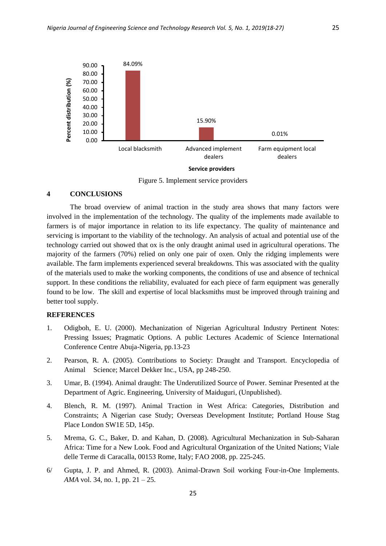

**Service providers** 

Figure 5. Implement service providers

#### **4 CONCLUSIONS**

The broad overview of animal traction in the study area shows that many factors were involved in the implementation of the technology. The quality of the implements made available to farmers is of major importance in relation to its life expectancy. The quality of maintenance and servicing is important to the viability of the technology. An analysis of actual and potential use of the technology carried out showed that ox is the only draught animal used in agricultural operations. The majority of the farmers (70%) relied on only one pair of oxen. Only the ridging implements were available. The farm implements experienced several breakdowns. This was associated with the quality of the materials used to make the working components, the conditions of use and absence of technical support. In these conditions the reliability, evaluated for each piece of farm equipment was generally found to be low. The skill and expertise of local blacksmiths must be improved through training and better tool supply.

# **REFERENCES**

- 1. Odigboh, E. U. (2000). Mechanization of Nigerian Agricultural Industry Pertinent Notes: Pressing Issues; Pragmatic Options. A public Lectures Academic of Science International Conference Centre Abuja-Nigeria, pp.13-23
- 2. Pearson, R. A. (2005). Contributions to Society: Draught and Transport. Encyclopedia of Animal Science; Marcel Dekker Inc., USA, pp 248-250.
- 3. Umar, B. (1994). Animal draught: The Underutilized Source of Power. Seminar Presented at the Department of Agric. Engineering, University of Maiduguri, (Unpublished).
- 4. Blench, R. M. (1997). Animal Traction in West Africa: Categories, Distribution and Constraints; A Nigerian case Study; Overseas Development Institute; Portland House Stag Place London SW1E 5D, 145p.
- 5. Mrema, G. C., Baker, D. and Kahan, D. (2008). Agricultural Mechanization in Sub-Saharan Africa: Time for a New Look. Food and Agricultural Organization of the United Nations; Viale delle Terme di Caracalla, 00153 Rome, Italy; FAO 2008, pp. 225-245.
- 6/ Gupta, J. P. and Ahmed, R. (2003). Animal-Drawn Soil working Four-in-One Implements. *AMA* vol. 34, no. 1, pp. 21 – 25.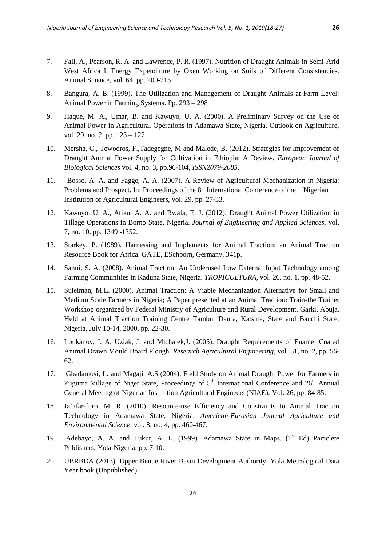- 7. Fall, A., Pearson, R. A. and Lawrence, P. R. (1997). Nutrition of Draught Animals in Semi-Arid West Africa I. Energy Expenditure by Oxen Working on Soils of Different Consistencies. Animal Science, vol. 64, pp. 209-215.
- 8. Bangura, A. B. (1999). The Utilization and Management of Draught Animals at Farm Level: Animal Power in Farming Systems. Pp. 293 – 298
- 9. Haque, M. A., Umar, B. and Kawuyo, U. A. (2000). A Preliminary Survey on the Use of Animal Power in Agricultural Operations in Adamawa State, Nigeria. Outlook on Agriculture, vol. 29, no. 2, pp. 123 – 127
- 10. Mersha, C., Tewodros, F.,Tadegegne, M and Malede, B. (2012). Strategies for Improvement of Draught Animal Power Supply for Cultivation in Ethiopia: A Review. *European Journal of Biological Sciences* vol. 4, no. 3, pp.96-104, *ISSN2079-2085.*
- 11. Bosso, A. A. and Fagge, A. A. (2007). A Review of Agricultural Mechanization in Nigeria: Problems and Prospect. In: Proceedings of the  $8<sup>th</sup>$  International Conference of the Nigerian Institution of Agricultural Engineers, vol. 29, pp. 27-33.
- 12. Kawuyo, U. A., Atiku, A. A. and Bwala, E. J. (2012). Draught Animal Power Utilization in Tillage Operations in Borno State, Nigeria. *Journal of Engineering and Applied Sciences,* vol. 7, no. 10, pp. 1349 -1352.
- 13. Starkey, P. (1989). Harnessing and Implements for Animal Traction: an Animal Traction Resource Book for Africa. GATE, ESchborn, Germany, 341p.
- 14. Sanni, S. A. (2008). Animal Traction: An Underused Low External Input Technology among Farming Communities in Kaduna State, Nigeria. *TROPICULTURA*, vol. 26, no. 1, pp. 48-52.
- 15. Suleiman, M.L. (2000). Animal Traction: A Viable Mechanization Alternative for Small and Medium Scale Farmers in Nigeria; A Paper presented at an Animal Traction: Train-the Trainer Workshop organized by Federal Ministry of Agriculture and Rural Development, Garki, Abuja, Held at Animal Traction Training Centre Tambu, Daura, Katsina, State and Bauchi State, Nigeria, July 10-14, 2000, pp. 22-30.
- 16. Loukanov, I. A, Uziak, J. and Michalek,J. (2005). Draught Requirements of Enamel Coated Animal Drawn Mould Board Plough. *Research Agricultural Engineering*, vol. 51, no. 2, pp. 56- 62.
- 17. Gbadamosi, L. and Magaji, A.S (2004). Field Study on Animal Draught Power for Farmers in Zuguma Village of Niger State, Proceedings of  $5<sup>th</sup>$  International Conference and  $26<sup>th</sup>$  Annual General Meeting of Nigerian Institution Agricultural Engineers (NIAE). Vol. 26, pp. 84-85.
- 18. Ja'afar-furo, M. R. (2010). Resource-use Efficiency and Constraints to Animal Traction Technology in Adamawa State, Nigeria. *American-Eurasian Journal Agriculture and Environmental Science*, vol. 8, no. 4, pp. 460-467.
- 19. Adebayo, A. A. and Tukur, A. L. (1999). Adamawa State in Maps. (1<sup>st</sup> Ed) Paraclete Publishers, Yola-Nigeria, pp. 7-10.
- 20. UBRBDA (2013). Upper Benue River Basin Development Authority, Yola Metrological Data Year book (Unpublished).